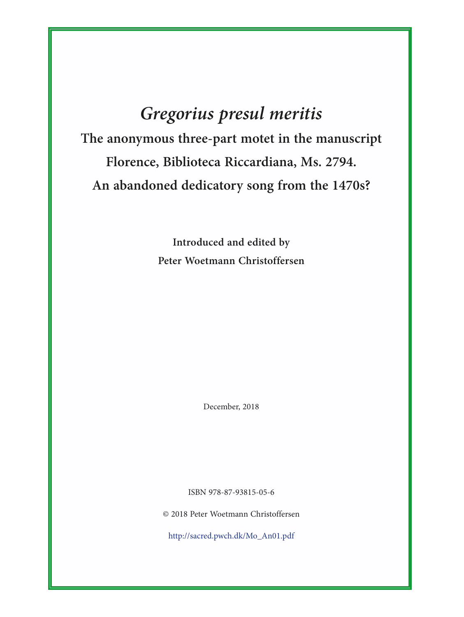## *Gregorius presul meritis*

**The anonymous three-part motet in the manuscript Florence, Biblioteca Riccardiana, Ms. 2794. An abandoned dedicatory song from the 1470s?**

> **Introduced and edited by Peter Woetmann Christoffersen**

> > December, 2018

ISBN 978-87-93815-05-6

© 2018 Peter Woetmann Christoffersen

[http://sacred.pwch.dk/Mo\\_An01.pdf](http://sacred.pwch.dk/Mo_An01.pdf)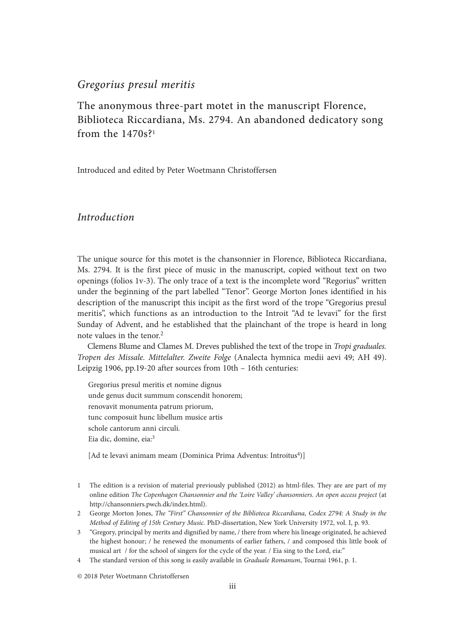## *Gregorius presul meritis*

The anonymous three-part motet in the manuscript Florence, Biblioteca Riccardiana, Ms. 2794. An abandoned dedicatory song from the  $1470s$ ?<sup>1</sup>

Introduced and edited by Peter Woetmann Christoffersen

## *Introduction*

The unique source for this motet is the chansonnier in Florence, Biblioteca Riccardiana, Ms. 2794. It is the first piece of music in the manuscript, copied without text on two openings (folios 1v-3). The only trace of a text is the incomplete word "Regorius" written under the beginning of the part labelled "Tenor". George Morton Jones identified in his description of the manuscript this incipit as the first word of the trope "Gregorius presul meritis", which functions as an introduction to the Introit "Ad te levavi" for the first Sunday of Advent, and he established that the plainchant of the trope is heard in long note values in the tenor.<sup>2</sup>

Clemens Blume and Clames M. Dreves published the text of the trope in *Tropi graduales. Tropen des Missale. Mittelalter. Zweite Folge* (Analecta hymnica medii aevi 49; AH 49). Leipzig 1906, pp.19-20 after sources from 10th – 16th centuries:

Gregorius presul meritis et nomine dignus unde genus ducit summum conscendit honorem; renovavit monumenta patrum priorum, tunc composuit hunc libellum musice artis schole cantorum anni circuli. Eia dic, domine, eia:<sup>3</sup>

[Ad te levavi animam meam (Dominica Prima Adventus: Introitus<sup>4</sup>)]

- 1 The edition is a revision of material previously published (2012) as html-files. They are are part of my online edition *The Copenhagen Chansonnier and the 'Loire Valley' chansonniers. An open access project* (at <http://chansonniers.pwch.dk/index.html>).
- 2 George Morton Jones, *The "First" Chansonnier of the Biblioteca Riccardiana, Codex 2794: A Study in the Method of Editing of 15th Century Music.* PhD-dissertation, New York University 1972, vol. I, p. 93.
- 3 "Gregory, principal by merits and dignified by name, / there from where his lineage originated, he achieved the highest honour; / he renewed the monuments of earlier fathers, / and composed this little book of musical art / for the school of singers for the cycle of the year. / Eia sing to the Lord, eia:"
- 4 The standard version of this song is easily available in *Graduale Romanum*, Tournai 1961, p. 1.

© 2018 Peter Woetmann Christoffersen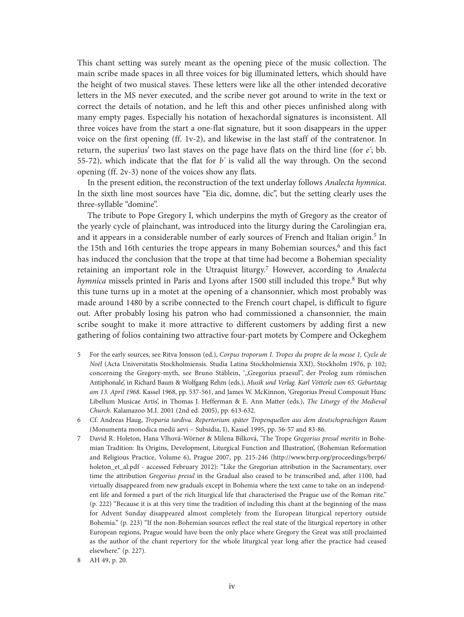This chant setting was surely meant as the opening piece of the music collection. The main scribe made spaces in all three voices for big illuminated letters, which should have the height of two musical staves. These letters were like all the other intended decorative letters in the MS never executed, and the scribe never got around to write in the text or correct the details of notation, and he left this and other pieces unfinished along with many empty pages. Especially his notation of hexachordal signatures is inconsistent. All three voices have from the start a one-flat signature, but it soon disappears in the upper voice on the first opening (ff. 1v-2), and likewise in the last staff of the contratenor. In return, the superius' two last staves on the page have flats on the third line (for *e'*; bb. 55-72), which indicate that the flat for *b'* is valid all the way through. On the second opening (ff. 2v-3) none of the voices show any flats.

In the present edition, the reconstruction of the text underlay follows *Analecta hymnica*. In the sixth line most sources have "Eia dic, domne, dic", but the setting clearly uses the three-syllable "domine".

The tribute to Pope Gregory I, which underpins the myth of Gregory as the creator of the yearly cycle of plainchant, was introduced into the liturgy during the Carolingian era, and it appears in a considerable number of early sources of French and Italian origin.<sup>5</sup> In the 15th and 16th centuries the trope appears in many Bohemian sources,<sup>6</sup> and this fact has induced the conclusion that the trope at that time had become a Bohemian speciality retaining an important role in the Utraquist liturgy.7 However, according to *Analecta hymnica* missels printed in Paris and Lyons after 1500 still included this trope.<sup>8</sup> But why this tune turns up in a motet at the opening of a chansonnier, which most probably was made around 1480 by a scribe connected to the French court chapel, is difficult to figure out. After probably losing his patron who had commissioned a chansonnier, the main scribe sought to make it more attractive to different customers by adding first a new gathering of folios containing two attractive four-part motets by Compere and Ockeghem

- 5 For the early sources, see Ritva Jonsson (ed.), *Corpus troporum I. Tropes du propre de la messe 1, Cycle de Noël* (Acta Universitatis Stockholmiensis. Studia Latina Stockholmiensia XXI), Stockholm 1976, p. 102; concerning the Gregory-myth, see Bruno Stäblein, ',,Gregorius praesul', der Prolog zum römischen Antiphonale', in Richard Baum & Wolfgang Rehm (eds.), *Musik und Verlag. Karl Vötterle zum 65. Geburtstag am 13. April 1968.* Kassel 1968, pp. 537-561, and James W. McKinnon, 'Gregorius Presul Composuit Hunc Libellum Musicae Artis', in Thomas J. Hefferman & E. Ann Matter (eds.), *The Liturgy of the Medieval Church.* Kalamazoo M.I. 2001 (2nd ed. 2005), pp. 613-632.
- 6 Cf. Andreas Haug, *Troparia tardiva. Repertorium später Tropenquellen aus dem deutschsprachigen Raum*  (Monumenta monodica medii aevi – Subsidia, I), Kassel 1995, pp. 56-57 and 83-86.
- 7 David R. Holeton, Hana Vlhová-Wörner & Milena Bílková, 'The Trope *Gregorius presul meritis* in Bohemian Tradition: Its Origins, Development, Liturgical Function and Illustration', (Bohemian Reformation and Religious Practice, Volume 6), Prague 2007, pp. 215-246 ([http://www.brrp.org/proceedings/brrp6/](http://www.brrp.org/proceedings/brrp6/holeton_et_al.pdf) [holeton\\_et\\_al.pdf](http://www.brrp.org/proceedings/brrp6/holeton_et_al.pdf) - accessed February 2012): "Like the Gregorian attribution in the Sacramentary, over time the attribution *Gregorius presul* in the Gradual also ceased to be transcribed and, after 1100, had virtually disappeared from new graduals except in Bohemia where the text came to take on an independent life and formed a part of the rich liturgical life that characterised the Prague use of the Roman rite." (p. 222) "Because it is at this very time the tradition of including this chant at the beginning of the mass for Advent Sunday disappeared almost completely from the European liturgical repertory outside Bohemia." (p. 223) "If the non-Bohemian sources reflect the real state of the liturgical repertory in other European regions, Prague would have been the only place where Gregory the Great was still proclaimed as the author of the chant repertory for the whole liturgical year long after the practice had ceased elsewhere." (p. 227).
- 8 AH 49, p. 20.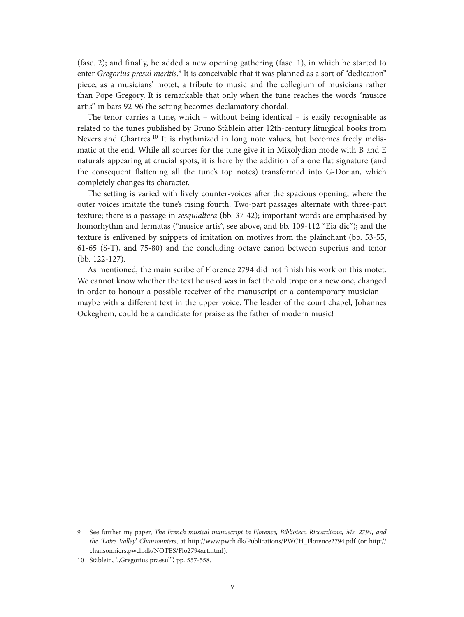(fasc. 2); and finally, he added a new opening gathering (fasc. 1), in which he started to enter *Gregorius presul meritis*. 9 It is conceivable that it was planned as a sort of "dedication" piece, as a musicians' motet, a tribute to music and the collegium of musicians rather than Pope Gregory. It is remarkable that only when the tune reaches the words "musice artis" in bars 92-96 the setting becomes declamatory chordal.

The tenor carries a tune, which – without being identical – is easily recognisable as related to the tunes published by Bruno Stäblein after 12th-century liturgical books from Nevers and Chartres.<sup>10</sup> It is rhythmized in long note values, but becomes freely melismatic at the end. While all sources for the tune give it in Mixolydian mode with B and E naturals appearing at crucial spots, it is here by the addition of a one flat signature (and the consequent flattening all the tune's top notes) transformed into G-Dorian, which completely changes its character.

The setting is varied with lively counter-voices after the spacious opening, where the outer voices imitate the tune's rising fourth. Two-part passages alternate with three-part texture; there is a passage in *sesquialtera* (bb. 37-42); important words are emphasised by homorhythm and fermatas ("musice artis", see above, and bb. 109-112 "Eia dic"); and the texture is enlivened by snippets of imitation on motives from the plainchant (bb. 53-55, 61-65 (S-T), and 75-80) and the concluding octave canon between superius and tenor (bb. 122-127).

As mentioned, the main scribe of Florence 2794 did not finish his work on this motet. We cannot know whether the text he used was in fact the old trope or a new one, changed in order to honour a possible receiver of the manuscript or a contemporary musician – maybe with a different text in the upper voice. The leader of the court chapel, Johannes Ockeghem, could be a candidate for praise as the father of modern music!

<sup>9</sup> See further my paper, *The French musical manuscript in Florence, Biblioteca Riccardiana, Ms. 2794, and the 'Loire Valley' Chansonniers*, at [http://www.pwch.dk/Publications/PWCH\\_Florence2794.pdf](http://www.pwch.dk/Publications/PWCH_Florence2794.pdf) (or [http://](http://chansonniers.pwch.dk/NOTES/Flo2794art.html) [chansonniers.pwch.dk/NOTES/Flo2794art.html\)](http://chansonniers.pwch.dk/NOTES/Flo2794art.html).

<sup>10</sup> Stäblein, ',,Gregorius praesul", pp. 557-558.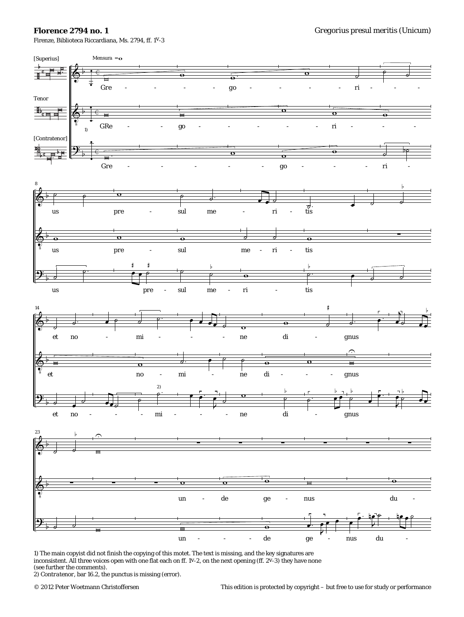## **Florence 2794 no. 1**

Firenze, Biblioteca Riccardiana, Ms. 2794, ff. 1v-3



1) The main copyist did not finish the copying of this motet. The text is missing, and the key signatures are inconsistent. All three voices open with one flat each on ff. 1v-2, on the next opening (ff. 2v-3) they have none (see further the comments).

2) *Contratenor,* bar 16.2, the *punctus* is missing (error).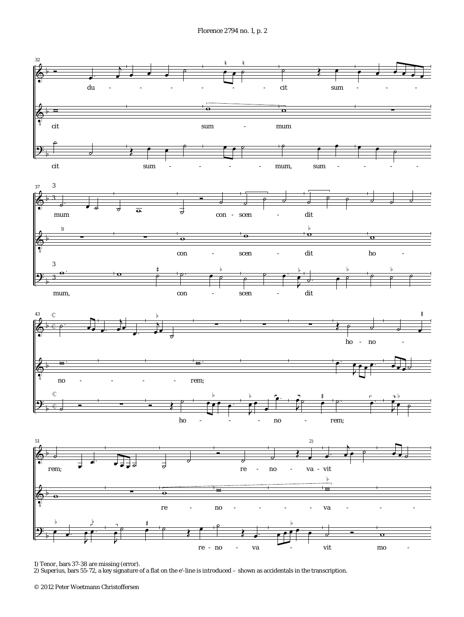Florence 2794 no. 1, p. 2



1) *Tenor,* bars 37-38 are missing (error).

2) *Superius,* bars 55-72, a key signature of a flat on the *e'-*line is introduced – shown as accidentals in the transcription.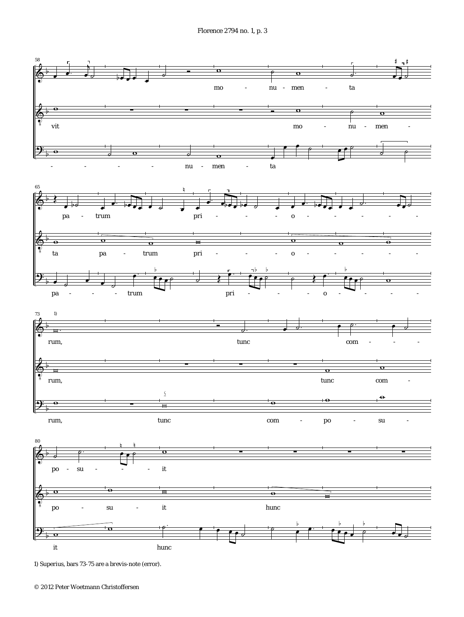

<sup>1)</sup> *Superius,* bars 73-75 are a *brevis-*note (error).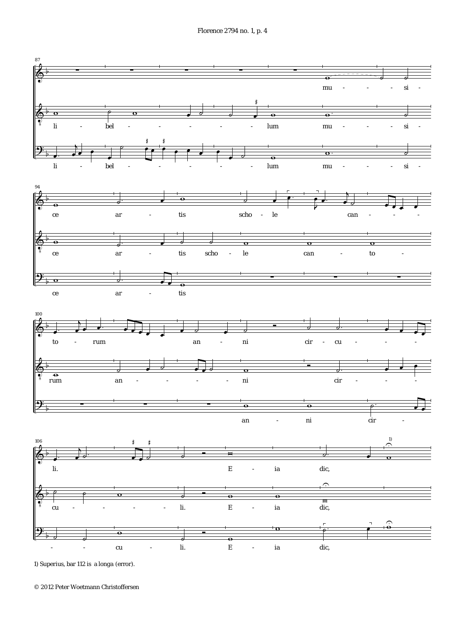Florence 2794 no. 1, p. 4



1) *Superius,* bar 112 is a *longa* (error).